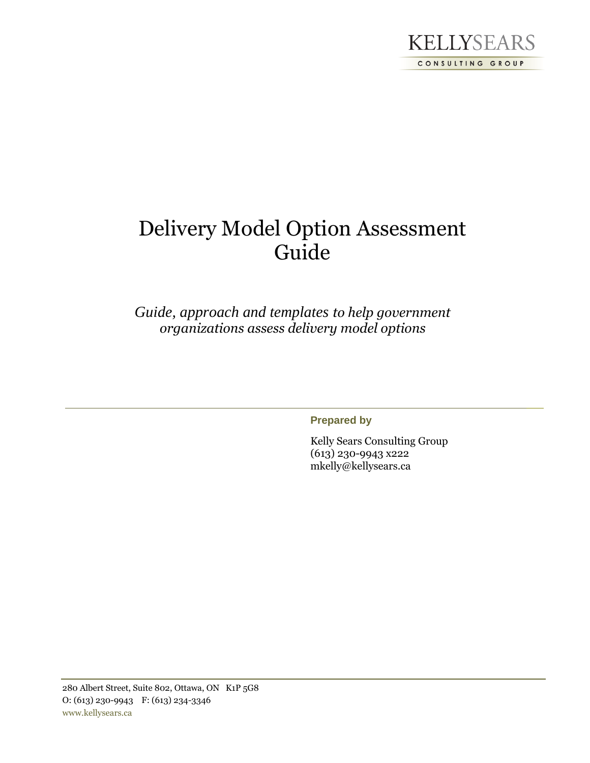

# Delivery Model Option Assessment Guide

*Guide, approach and templates to help government organizations assess delivery model options*

**Prepared by**

Kelly Sears Consulting Group (613) 230-9943 x222 mkelly@kellysears.ca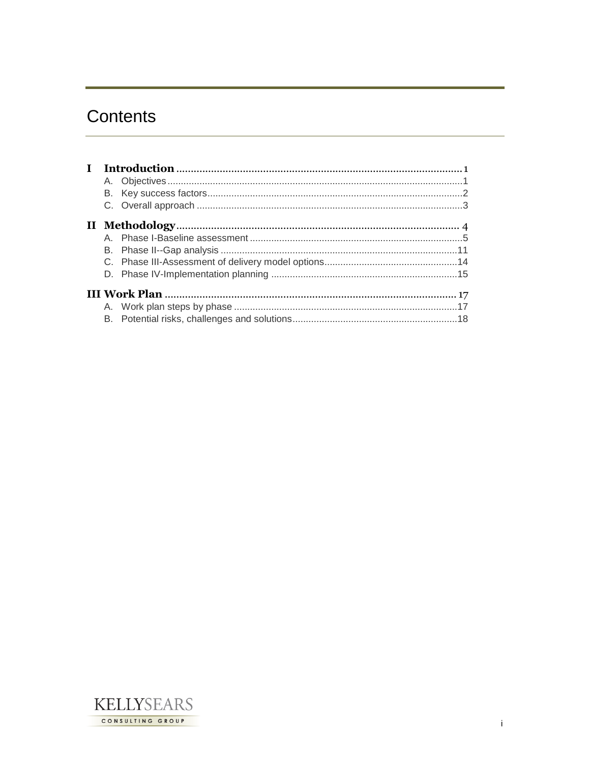# Contents

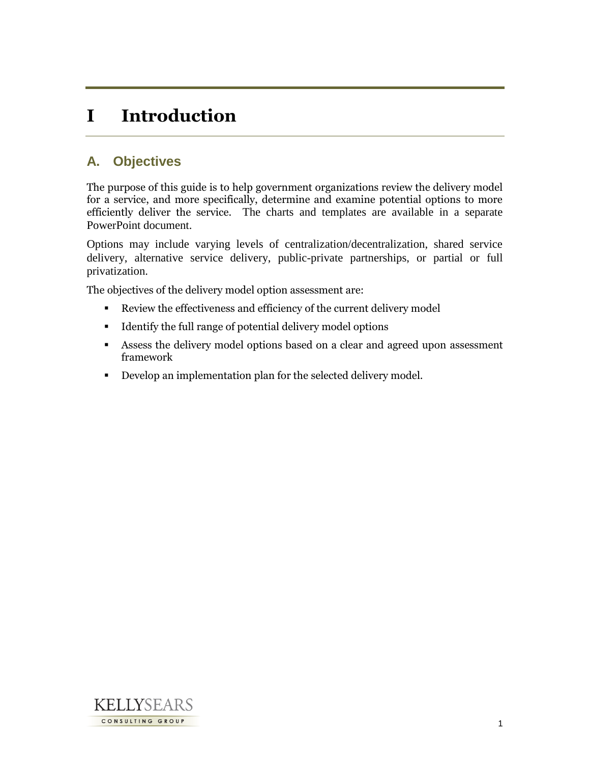# **I Introduction**

## **A. Objectives**

The purpose of this guide is to help government organizations review the delivery model for a service, and more specifically, determine and examine potential options to more efficiently deliver the service. The charts and templates are available in a separate PowerPoint document.

Options may include varying levels of centralization/decentralization, shared service delivery, alternative service delivery, public-private partnerships, or partial or full privatization.

The objectives of the delivery model option assessment are:

- Review the effectiveness and efficiency of the current delivery model
- Identify the full range of potential delivery model options
- Assess the delivery model options based on a clear and agreed upon assessment framework
- Develop an implementation plan for the selected delivery model.

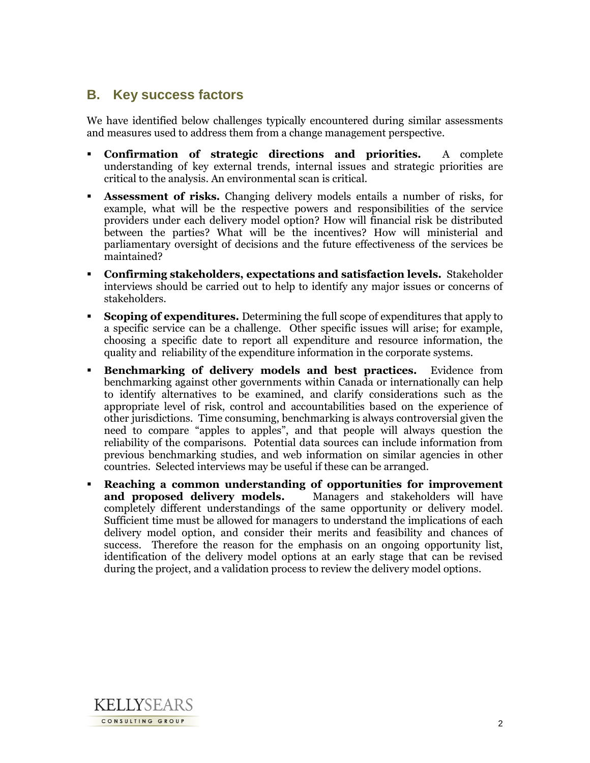### **B. Key success factors**

We have identified below challenges typically encountered during similar assessments and measures used to address them from a change management perspective.

- **Confirmation of strategic directions and priorities.** A complete understanding of key external trends, internal issues and strategic priorities are critical to the analysis. An environmental scan is critical.
- **Assessment of risks.** Changing delivery models entails a number of risks, for example, what will be the respective powers and responsibilities of the service providers under each delivery model option? How will financial risk be distributed between the parties? What will be the incentives? How will ministerial and parliamentary oversight of decisions and the future effectiveness of the services be maintained?
- **Confirming stakeholders, expectations and satisfaction levels.** Stakeholder interviews should be carried out to help to identify any major issues or concerns of stakeholders.
- **Scoping of expenditures.** Determining the full scope of expenditures that apply to a specific service can be a challenge. Other specific issues will arise; for example, choosing a specific date to report all expenditure and resource information, the quality and reliability of the expenditure information in the corporate systems.
- **Benchmarking of delivery models and best practices.** Evidence from benchmarking against other governments within Canada or internationally can help to identify alternatives to be examined, and clarify considerations such as the appropriate level of risk, control and accountabilities based on the experience of other jurisdictions. Time consuming, benchmarking is always controversial given the need to compare "apples to apples", and that people will always question the reliability of the comparisons. Potential data sources can include information from previous benchmarking studies, and web information on similar agencies in other countries. Selected interviews may be useful if these can be arranged.
- **Reaching a common understanding of opportunities for improvement and proposed delivery models.** Managers and stakeholders will have completely different understandings of the same opportunity or delivery model. Sufficient time must be allowed for managers to understand the implications of each delivery model option, and consider their merits and feasibility and chances of success. Therefore the reason for the emphasis on an ongoing opportunity list, identification of the delivery model options at an early stage that can be revised during the project, and a validation process to review the delivery model options.

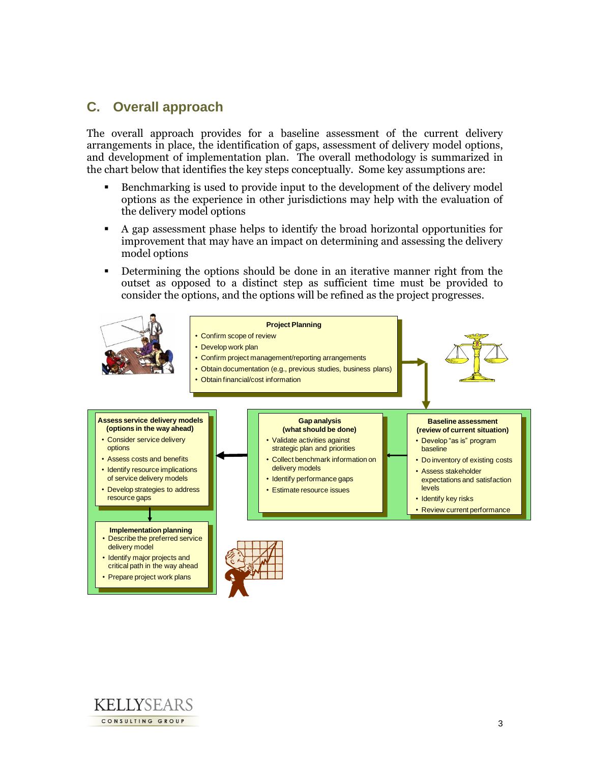## **C. Overall approach**

The overall approach provides for a baseline assessment of the current delivery arrangements in place, the identification of gaps, assessment of delivery model options, and development of implementation plan. The overall methodology is summarized in the chart below that identifies the key steps conceptually. Some key assumptions are:

- Benchmarking is used to provide input to the development of the delivery model options as the experience in other jurisdictions may help with the evaluation of the delivery model options
- A gap assessment phase helps to identify the broad horizontal opportunities for improvement that may have an impact on determining and assessing the delivery model options
- Determining the options should be done in an iterative manner right from the outset as opposed to a distinct step as sufficient time must be provided to consider the options, and the options will be refined as the project progresses.



• Prepare project work plans

KELLYSEARS CONSULTING GROUP

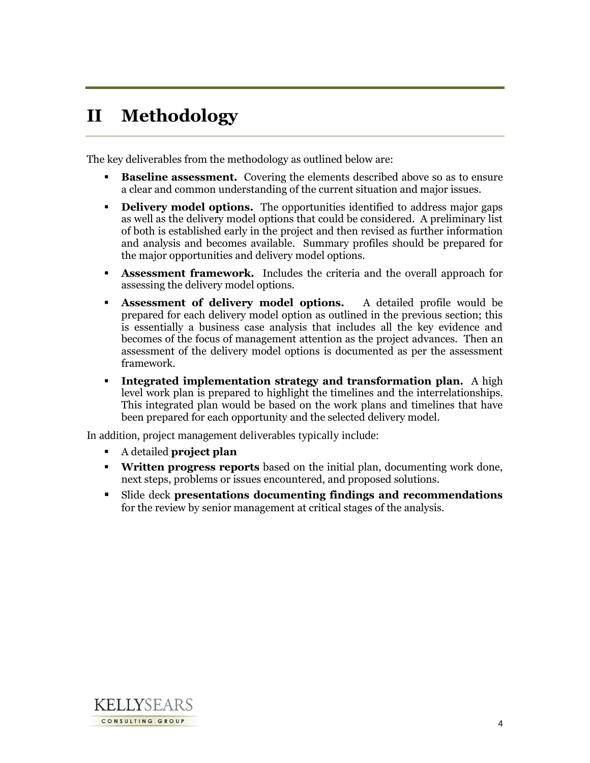# **II Methodology**

The key deliverables from the methodology as outlined below are:

- **Baseline assessment.** Covering the elements described above so as to ensure a clear and common understanding of the current situation and major issues.
- **Delivery model options.** The opportunities identified to address major gaps as well as the delivery model options that could be considered. A preliminary list of both is established early in the project and then revised as further information and analysis and becomes available. Summary profiles should be prepared for the major opportunities and delivery model options.
- **Assessment framework.** Includes the criteria and the overall approach for assessing the delivery model options.
- **Assessment of delivery model options.** A detailed profile would be prepared for each delivery model option as outlined in the previous section; this is essentially a business case analysis that includes all the key evidence and becomes of the focus of management attention as the project advances. Then an assessment of the delivery model options is documented as per the assessment framework.
- **Integrated implementation strategy and transformation plan.** A high level work plan is prepared to highlight the timelines and the interrelationships. This integrated plan would be based on the work plans and timelines that have been prepared for each opportunity and the selected delivery model.

In addition, project management deliverables typically include:

- A detailed **project plan**
- **Written progress reports** based on the initial plan, documenting work done, next steps, problems or issues encountered, and proposed solutions.
- Slide deck **presentations documenting findings and recommendations** for the review by senior management at critical stages of the analysis.

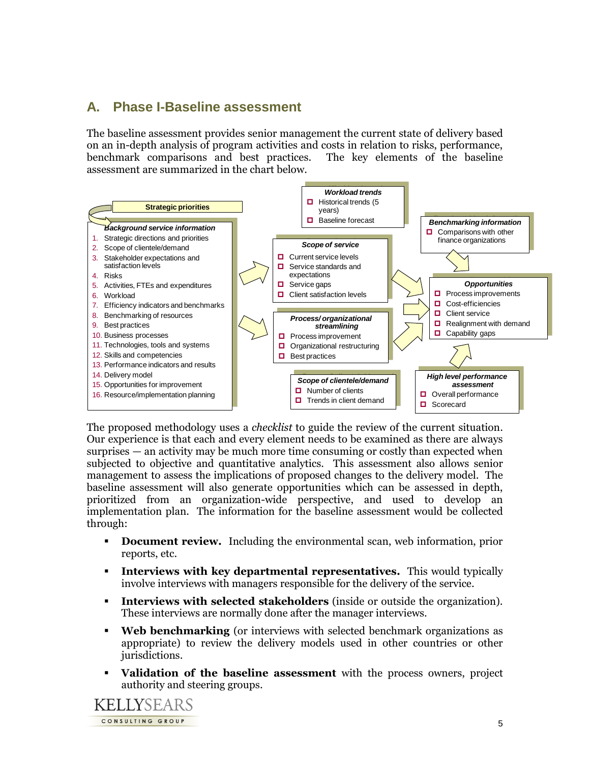## **A. Phase I-Baseline assessment**

The baseline assessment provides senior management the current state of delivery based on an in-depth analysis of program activities and costs in relation to risks, performance, benchmark comparisons and best practices. The key elements of the baseline assessment are summarized in the chart below.



The proposed methodology uses a *checklist* to guide the review of the current situation. Our experience is that each and every element needs to be examined as there are always surprises — an activity may be much more time consuming or costly than expected when subjected to objective and quantitative analytics. This assessment also allows senior management to assess the implications of proposed changes to the delivery model. The baseline assessment will also generate opportunities which can be assessed in depth, prioritized from an organization-wide perspective, and used to develop an implementation plan. The information for the baseline assessment would be collected through:

- **Document review.** Including the environmental scan, web information, prior reports, etc.
- **Interviews with key departmental representatives.** This would typically involve interviews with managers responsible for the delivery of the service.
- **Interviews with selected stakeholders** (inside or outside the organization). These interviews are normally done after the manager interviews.
- **Web benchmarking** (or interviews with selected benchmark organizations as appropriate) to review the delivery models used in other countries or other jurisdictions.
- **Validation of the baseline assessment** with the process owners, project authority and steering groups.

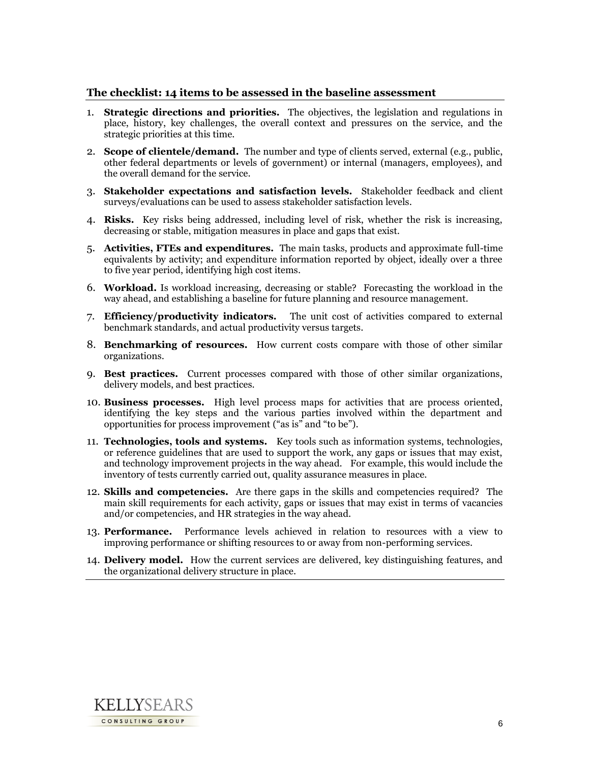#### **The checklist: 14 items to be assessed in the baseline assessment**

- 1. **Strategic directions and priorities.** The objectives, the legislation and regulations in place, history, key challenges, the overall context and pressures on the service, and the strategic priorities at this time.
- 2. **Scope of clientele/demand.**The number and type of clients served, external (e.g., public, other federal departments or levels of government) or internal (managers, employees), and the overall demand for the service.
- 3. **Stakeholder expectations and satisfaction levels.** Stakeholder feedback and client surveys/evaluations can be used to assess stakeholder satisfaction levels.
- 4. **Risks.** Key risks being addressed, including level of risk, whether the risk is increasing, decreasing or stable, mitigation measures in place and gaps that exist.
- 5. **Activities, FTEs and expenditures.** The main tasks, products and approximate full-time equivalents by activity; and expenditure information reported by object, ideally over a three to five year period, identifying high cost items.
- 6. **Workload.** Is workload increasing, decreasing or stable? Forecasting the workload in the way ahead, and establishing a baseline for future planning and resource management.
- 7. **Efficiency/productivity indicators.** The unit cost of activities compared to external benchmark standards, and actual productivity versus targets.
- 8. **Benchmarking of resources.** How current costs compare with those of other similar organizations.
- 9. **Best practices.** Current processes compared with those of other similar organizations, delivery models, and best practices.
- 10. **Business processes.** High level process maps for activities that are process oriented, identifying the key steps and the various parties involved within the department and opportunities for process improvement ("as is" and "to be").
- 11. **Technologies, tools and systems.** Key tools such as information systems, technologies, or reference guidelines that are used to support the work, any gaps or issues that may exist, and technology improvement projects in the way ahead.For example, this would include the inventory of tests currently carried out, quality assurance measures in place.
- 12. **Skills and competencies.** Are there gaps in the skills and competencies required? The main skill requirements for each activity, gaps or issues that may exist in terms of vacancies and/or competencies, and HR strategies in the way ahead.
- 13. **Performance.** Performance levels achieved in relation to resources with a view to improving performance or shifting resources to or away from non-performing services.
- 14. **Delivery model.** How the current services are delivered, key distinguishing features, and the organizational delivery structure in place.

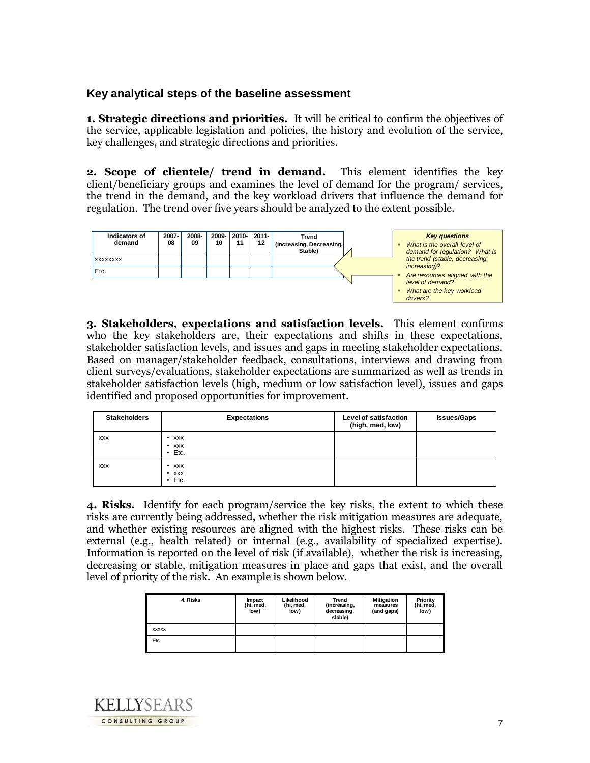### **Key analytical steps of the baseline assessment**

**1. Strategic directions and priorities.** It will be critical to confirm the objectives of the service, applicable legislation and policies, the history and evolution of the service, key challenges, and strategic directions and priorities.

**2. Scope of clientele/ trend in demand.**This element identifies the key client/beneficiary groups and examines the level of demand for the program/ services, the trend in the demand, and the key workload drivers that influence the demand for regulation. The trend over five years should be analyzed to the extent possible.



**3. Stakeholders, expectations and satisfaction levels.** This element confirms who the key stakeholders are, their expectations and shifts in these expectations, stakeholder satisfaction levels, and issues and gaps in meeting stakeholder expectations. Based on manager/stakeholder feedback, consultations, interviews and drawing from client surveys/evaluations, stakeholder expectations are summarized as well as trends in stakeholder satisfaction levels (high, medium or low satisfaction level), issues and gaps identified and proposed opportunities for improvement.

| <b>Stakeholders</b> | <b>Expectations</b>                                 | <b>Level of satisfaction</b><br>(high, med, low) | <b>Issues/Gaps</b> |
|---------------------|-----------------------------------------------------|--------------------------------------------------|--------------------|
| <b>XXX</b>          | <b>XXX</b><br>٠<br>$\cdot$ xxx<br>Etc.<br>$\bullet$ |                                                  |                    |
| <b>XXX</b>          | $\cdot$ xxx<br>$\cdot$ xxx<br>Etc.<br>$\bullet$     |                                                  |                    |

**4. Risks.** Identify for each program/service the key risks, the extent to which these risks are currently being addressed, whether the risk mitigation measures are adequate, and whether existing resources are aligned with the highest risks. These risks can be external (e.g., health related) or internal (e.g., availability of specialized expertise). Information is reported on the level of risk (if available), whether the risk is increasing, decreasing or stable, mitigation measures in place and gaps that exist, and the overall level of priority of the risk. An example is shown below.

| 4. Risks     | Impact<br>(hi, med,<br>low) | Likelihood<br>(hi, med,<br>low) | Trend<br>(increasing,<br>decreasing,<br>stable) | <b>Mitigation</b><br>measures<br>(and gaps) | Priority<br>(hi, med,<br>low) |
|--------------|-----------------------------|---------------------------------|-------------------------------------------------|---------------------------------------------|-------------------------------|
| <b>XXXXX</b> |                             |                                 |                                                 |                                             |                               |
| Etc.         |                             |                                 |                                                 |                                             |                               |

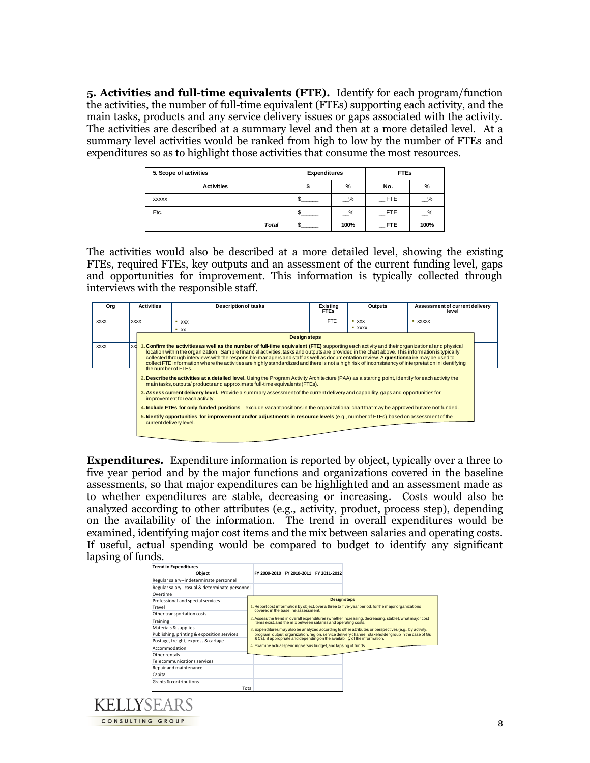**5. Activities and full-time equivalents (FTE).** Identify for each program/function the activities, the number of full-time equivalent (FTEs) supporting each activity, and the main tasks, products and any service delivery issues or gaps associated with the activity. The activities are described at a summary level and then at a more detailed level. At a summary level activities would be ranked from high to low by the number of FTEs and expenditures so as to highlight those activities that consume the most resources.

| 5. Scope of activities | <b>Expenditures</b> |      | <b>FTEs</b> |               |
|------------------------|---------------------|------|-------------|---------------|
| <b>Activities</b>      |                     | %    | No.         | %             |
| <b>XXXXX</b>           |                     | $\%$ | $\_$ FTE    | $\frac{9}{6}$ |
| Etc.                   |                     | %    | <b>FTE</b>  | $\frac{9}{6}$ |
| Total                  |                     | 100% | <b>FTE</b>  | 100%          |

The activities would also be described at a more detailed level, showing the existing FTEs, required FTEs, key outputs and an assessment of the current funding level, gaps and opportunities for improvement. This information is typically collected through interviews with the responsible staff.

| Org         | <b>Activities</b><br><b>Description of tasks</b><br>Existina<br>Outputs<br><b>FTEs</b>                                                                                                                                           |                         |                                                                                                                                                                                                                                                                                                                                                                                                                                                                                                                                                                                                |            | Assessment of current delivery<br>level |         |  |
|-------------|----------------------------------------------------------------------------------------------------------------------------------------------------------------------------------------------------------------------------------|-------------------------|------------------------------------------------------------------------------------------------------------------------------------------------------------------------------------------------------------------------------------------------------------------------------------------------------------------------------------------------------------------------------------------------------------------------------------------------------------------------------------------------------------------------------------------------------------------------------------------------|------------|-----------------------------------------|---------|--|
| <b>XXXX</b> |                                                                                                                                                                                                                                  | <b>XXXX</b>             | $*$ xxx                                                                                                                                                                                                                                                                                                                                                                                                                                                                                                                                                                                        | <b>FTE</b> | $ \chi$ $\chi$ $\chi$                   | * XXXXX |  |
|             |                                                                                                                                                                                                                                  |                         | $\overline{\phantom{1}}$ xx                                                                                                                                                                                                                                                                                                                                                                                                                                                                                                                                                                    |            | <b>xxxx</b>                             |         |  |
|             |                                                                                                                                                                                                                                  |                         | <b>Design steps</b>                                                                                                                                                                                                                                                                                                                                                                                                                                                                                                                                                                            |            |                                         |         |  |
| <b>XXXX</b> | xxi                                                                                                                                                                                                                              | the number of FTEs.     | 1. Confirm the activities as well as the number of full-time equivalent (FTE) supporting each activity and their organizational and physical<br>location within the organization. Sample financial activities, tasks and outputs are provided in the chart above. This information is typically<br>collected through interviews with the responsible managers and staff as well as documentation review. A questionnaire may be used to<br>collect FTE information where the activities are highly standardized and there is not a high risk of inconsistency of interpretation in identifying |            |                                         |         |  |
|             | 2. Describe the activities at a detailed level. Using the Program Activity Architecture (PAA) as a starting point, identify for each activity the<br>main tasks, outputs/ products and approximate full-time equivalents (FTEs). |                         |                                                                                                                                                                                                                                                                                                                                                                                                                                                                                                                                                                                                |            |                                         |         |  |
|             | 3. Assess current delivery level. Provide a summary assessment of the current delivery and capability, gaps and opportunities for<br>improvement for each activity.                                                              |                         |                                                                                                                                                                                                                                                                                                                                                                                                                                                                                                                                                                                                |            |                                         |         |  |
|             | 4. Include FTEs for only funded positions—exclude vacant positions in the organizational chart that may be approved but are not funded.                                                                                          |                         |                                                                                                                                                                                                                                                                                                                                                                                                                                                                                                                                                                                                |            |                                         |         |  |
|             |                                                                                                                                                                                                                                  | current delivery level. | 5. Identify opportunities for improvement and/or adjustments in resource levels (e.g., number of FTEs) based on assessment of the                                                                                                                                                                                                                                                                                                                                                                                                                                                              |            |                                         |         |  |
|             |                                                                                                                                                                                                                                  |                         |                                                                                                                                                                                                                                                                                                                                                                                                                                                                                                                                                                                                |            |                                         |         |  |

**Expenditures.** Expenditure information is reported by object, typically over a three to five year period and by the major functions and organizations covered in the baseline assessments, so that major expenditures can be highlighted and an assessment made as to whether expenditures are stable, decreasing or increasing. Costs would also be analyzed according to other attributes (e.g., activity, product, process step), depending on the availability of the information. The trend in overall expenditures would be examined, identifying major cost items and the mix between salaries and operating costs. If useful, actual spending would be compared to budget to identify any significant lapsing of funds.

| <b>Trend in Expenditures</b>                   |       |                                                                                                                                                                                                                                                        |                                        |  |                     |  |  |
|------------------------------------------------|-------|--------------------------------------------------------------------------------------------------------------------------------------------------------------------------------------------------------------------------------------------------------|----------------------------------------|--|---------------------|--|--|
| Object                                         |       |                                                                                                                                                                                                                                                        | FY 2009-2010 FY 2010-2011 FY 2011-2012 |  |                     |  |  |
| Regular salary--indeterminate personnel        |       |                                                                                                                                                                                                                                                        |                                        |  |                     |  |  |
| Regular salary--casual & determinate personnel |       |                                                                                                                                                                                                                                                        |                                        |  |                     |  |  |
| Overtime                                       |       |                                                                                                                                                                                                                                                        |                                        |  |                     |  |  |
| Professional and special services              |       |                                                                                                                                                                                                                                                        |                                        |  | <b>Design steps</b> |  |  |
| Travel                                         |       | 1. Report cost information by object, over a three to five-year period, for the major organizations<br>covered in the baseline assessment.                                                                                                             |                                        |  |                     |  |  |
| Other transportation costs                     |       |                                                                                                                                                                                                                                                        |                                        |  |                     |  |  |
| Training                                       |       | 2. Assess the trend in overall expenditures (whether increasing, decreasing, stable), what major cost<br>items exist, and the mix between salaries and operating costs.                                                                                |                                        |  |                     |  |  |
| Materials & supplies                           |       | 3. Expenditures may also be analyzed according to other attributes or perspectives (e.g., by activity,                                                                                                                                                 |                                        |  |                     |  |  |
| Publishing, printing & exposition services     |       | program, output, organization, region, service delivery channel, stakeholder group in the case of Gs<br>& Cs), if appropriate and depending on the availability of the information.<br>4. Examine actual spending versus budget, and lapsing of funds. |                                        |  |                     |  |  |
| Postage, freight, express & cartage            |       |                                                                                                                                                                                                                                                        |                                        |  |                     |  |  |
| Accommodation                                  |       |                                                                                                                                                                                                                                                        |                                        |  |                     |  |  |
| Other rentals                                  |       |                                                                                                                                                                                                                                                        |                                        |  |                     |  |  |
| Telecommunications services                    |       |                                                                                                                                                                                                                                                        |                                        |  |                     |  |  |
| Repair and maintenance                         |       |                                                                                                                                                                                                                                                        |                                        |  |                     |  |  |
| Capital                                        |       |                                                                                                                                                                                                                                                        |                                        |  |                     |  |  |
| Grants & contributions                         |       |                                                                                                                                                                                                                                                        |                                        |  |                     |  |  |
|                                                | Total |                                                                                                                                                                                                                                                        |                                        |  |                     |  |  |

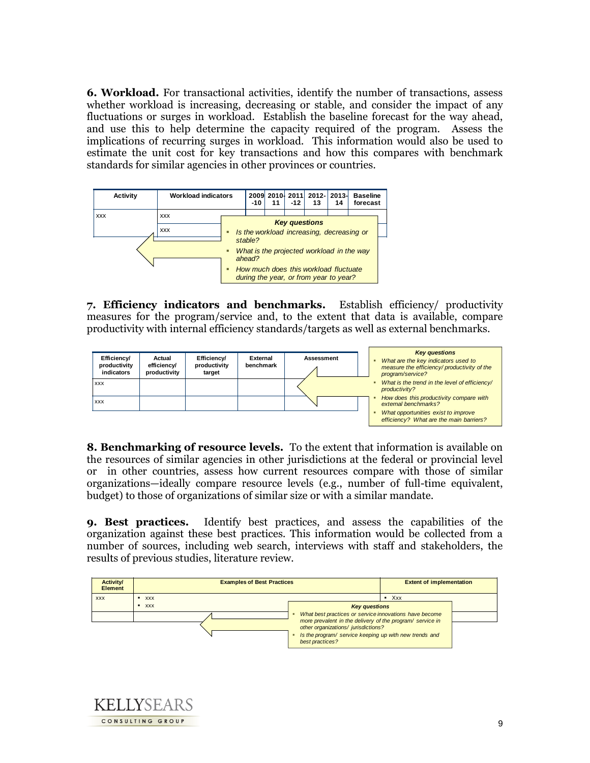**6. Workload.** For transactional activities, identify the number of transactions, assess whether workload is increasing, decreasing or stable, and consider the impact of any fluctuations or surges in workload. Establish the baseline forecast for the way ahead, and use this to help determine the capacity required of the program. Assess the implications of recurring surges in workload. This information would also be used to estimate the unit cost for key transactions and how this compares with benchmark standards for similar agencies in other provinces or countries.



**7. Efficiency indicators and benchmarks.** Establish efficiency/ productivity measures for the program/service and, to the extent that data is available, compare productivity with internal efficiency standards/targets as well as external benchmarks.



**8. Benchmarking of resource levels.** To the extent that information is available on the resources of similar agencies in other jurisdictions at the federal or provincial level or in other countries, assess how current resources compare with those of similar organizations—ideally compare resource levels (e.g., number of full-time equivalent, budget) to those of organizations of similar size or with a similar mandate.

**9. Best practices.** Identify best practices, and assess the capabilities of the organization against these best practices. This information would be collected from a number of sources, including web search, interviews with staff and stakeholders, the results of previous studies, literature review.



KELIYSEARS CONSULTING GROUP

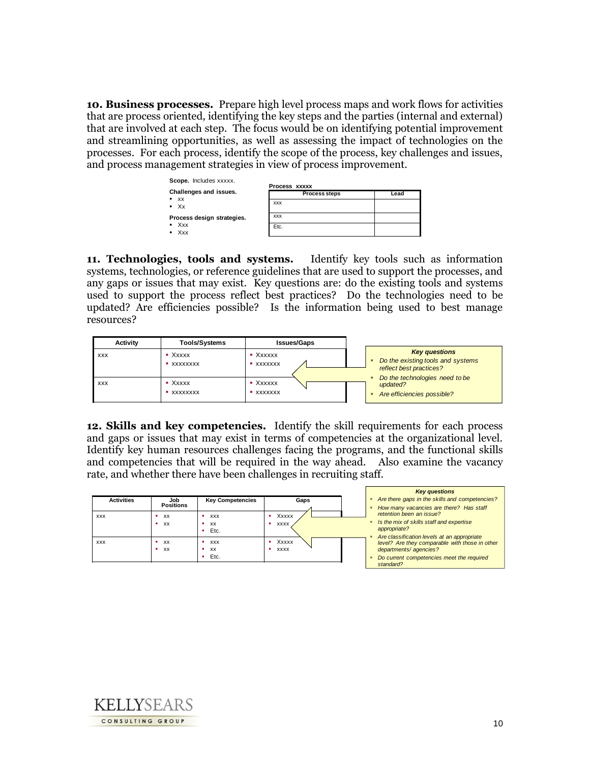**10. Business processes.** Prepare high level process maps and work flows for activities that are process oriented, identifying the key steps and the parties (internal and external) that are involved at each step. The focus would be on identifying potential improvement and streamlining opportunities, as well as assessing the impact of technologies on the processes. For each process, identify the scope of the process, key challenges and issues, and process management strategies in view of process improvement.



**11. Technologies, tools and systems.** Identify key tools such as information systems, technologies, or reference guidelines that are used to support the processes, and any gaps or issues that may exist. Key questions are: do the existing tools and systems used to support the process reflect best practices? Do the technologies need to be updated? Are efficiencies possible? Is the information being used to best manage resources?



**12. Skills and key competencies.** Identify the skill requirements for each process and gaps or issues that may exist in terms of competencies at the organizational level. Identify key human resources challenges facing the programs, and the functional skills and competencies that will be required in the way ahead. Also examine the vacancy

|                   |                  |                         |             | <b>Key questions</b>                                   |
|-------------------|------------------|-------------------------|-------------|--------------------------------------------------------|
| <b>Activities</b> | Job              | <b>Key Competencies</b> | Gaps        | Are there gaps in the skills and competencies?         |
|                   | <b>Positions</b> |                         |             | How many vacancies are there? Has staff                |
| <b>XXX</b>        | xx<br>٠          | <b>XXX</b>              | Xxxxx       | retention been an issue?                               |
|                   | xx<br>٠          | XX                      | <b>XXXX</b> | Is the mix of skills staff and expertise<br>٠          |
|                   |                  | Etc.                    |             | appropriate?                                           |
|                   |                  |                         |             | Are classification levels at an appropriate            |
| <b>XXX</b>        | <b>XX</b>        | <b>XXX</b>              | Xxxxx       | level? Are they comparable with those in other         |
|                   | xx<br>٠          | XX                      | <b>XXXX</b> | departments/agencies?                                  |
|                   |                  | Etc.                    |             | Do current competencies meet the required<br>standard? |

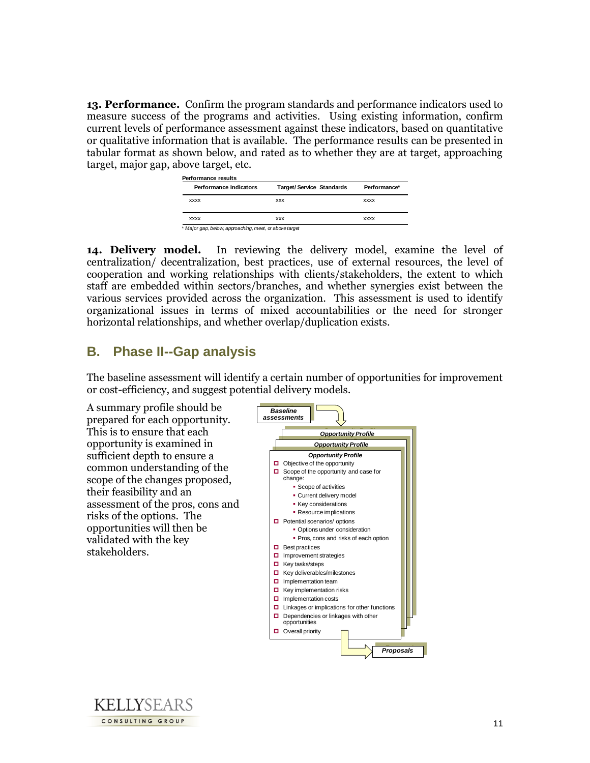**13. Performance.** Confirm the program standards and performance indicators used to measure success of the programs and activities. Using existing information, confirm current levels of performance assessment against these indicators, based on quantitative or qualitative information that is available. The performance results can be presented in tabular format as shown below, and rated as to whether they are at target, approaching target, major gap, above target, etc.

| Performance Indicators | <b>Target/Service Standards</b> | Performance* |
|------------------------|---------------------------------|--------------|
| <b>XXXX</b>            | <b>XXX</b>                      | <b>XXXX</b>  |
| <b>XXXX</b>            | <b>XXX</b>                      | <b>XXXX</b>  |

**14. Delivery model.**In reviewing the delivery model, examine the level of centralization/ decentralization, best practices, use of external resources, the level of cooperation and working relationships with clients/stakeholders, the extent to which staff are embedded within sectors/branches, and whether synergies exist between the various services provided across the organization. This assessment is used to identify organizational issues in terms of mixed accountabilities or the need for stronger horizontal relationships, and whether overlap/duplication exists.

### **B. Phase II--Gap analysis**

The baseline assessment will identify a certain number of opportunities for improvement or cost-efficiency, and suggest potential delivery models.

A summary profile should be prepared for each opportunity. This is to ensure that each opportunity is examined in sufficient depth to ensure a common understanding of the scope of the changes proposed, their feasibility and an assessment of the pros, cons and risks of the options. The opportunities will then be validated with the key stakeholders.



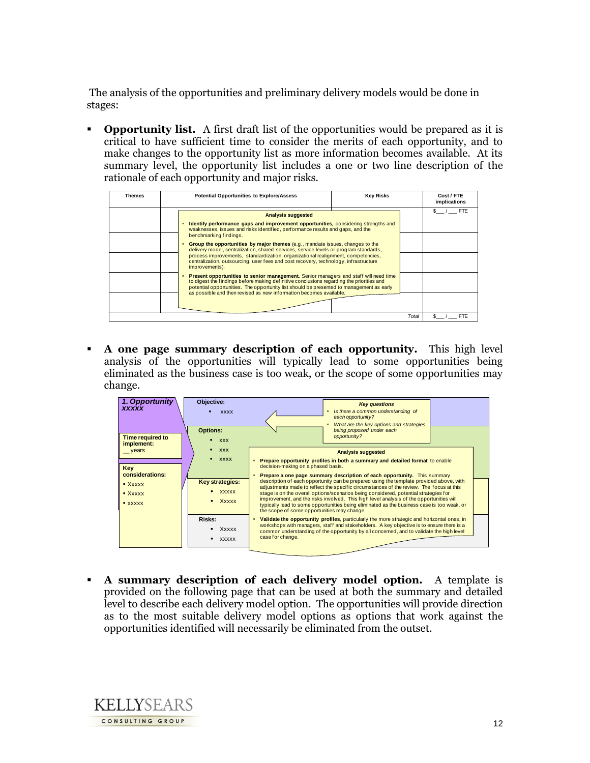The analysis of the opportunities and preliminary delivery models would be done in stages:

**• Opportunity list.** A first draft list of the opportunities would be prepared as it is critical to have sufficient time to consider the merits of each opportunity, and to make changes to the opportunity list as more information becomes available. At its summary level, the opportunity list includes a one or two line description of the rationale of each opportunity and major risks.

| Themes | <b>Potential Opportunities to Explore/Assess</b>                                                                                                                                                                                                                             |  | Cost / FTE<br>implications |            |
|--------|------------------------------------------------------------------------------------------------------------------------------------------------------------------------------------------------------------------------------------------------------------------------------|--|----------------------------|------------|
|        | <b>Analysis suggested</b>                                                                                                                                                                                                                                                    |  |                            | <b>FTE</b> |
|        | Identify performance gaps and improvement opportunities, considering strengths and<br>weaknesses, issues and risks identified, performance results and gaps, and the                                                                                                         |  |                            |            |
|        | benchmarking findings.<br><b>Group the opportunities by major themes</b> (e.g., mandate issues, changes to the                                                                                                                                                               |  |                            |            |
|        | delivery model, centralization, shared services, service levels or program standards,<br>process improvements, standardization, organizational realignment, competencies,<br>centralization, outsourcing, user fees and cost recovery, technology, infrastructure            |  |                            |            |
|        | improvements).                                                                                                                                                                                                                                                               |  |                            |            |
|        | Present opportunities to senior management. Senior managers and staff will need time<br>to digest the findings before making definitive conclusions regarding the priorities and<br>potential opportunities. The opportunity list should be presented to management as early |  |                            |            |
|        | as possible and then revised as new information becomes available.                                                                                                                                                                                                           |  |                            |            |
|        |                                                                                                                                                                                                                                                                              |  | Total                      | FTE        |

 **A one page summary description of each opportunity.** This high level analysis of the opportunities will typically lead to some opportunities being eliminated as the business case is too weak, or the scope of some opportunities may change.



 **A summary description of each delivery model option.** A template is provided on the following page that can be used at both the summary and detailed level to describe each delivery model option. The opportunities will provide direction as to the most suitable delivery model options as options that work against the opportunities identified will necessarily be eliminated from the outset.

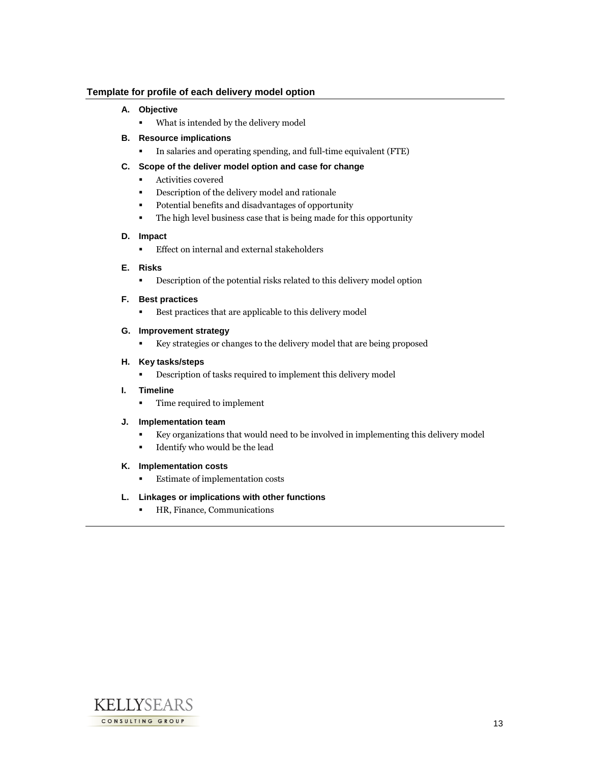#### **Template for profile of each delivery model option**

#### **A. Objective**

What is intended by the delivery model

#### **B. Resource implications**

In salaries and operating spending, and full-time equivalent (FTE)

#### **C. Scope of the deliver model option and case for change**

- **Activities covered**
- **•** Description of the delivery model and rationale
- Potential benefits and disadvantages of opportunity
- The high level business case that is being made for this opportunity

#### **D. Impact**

**Effect on internal and external stakeholders** 

#### **E. Risks**

Description of the potential risks related to this delivery model option

#### **F. Best practices**

Best practices that are applicable to this delivery model

#### **G. Improvement strategy**

Key strategies or changes to the delivery model that are being proposed

#### **H. Key tasks/steps**

Description of tasks required to implement this delivery model

#### **I. Timeline**

Time required to implement

#### **J. Implementation team**

- Key organizations that would need to be involved in implementing this delivery model
- Identify who would be the lead
- **K. Implementation costs**
	- Estimate of implementation costs

#### **L. Linkages or implications with other functions**

**HR, Finance, Communications** 

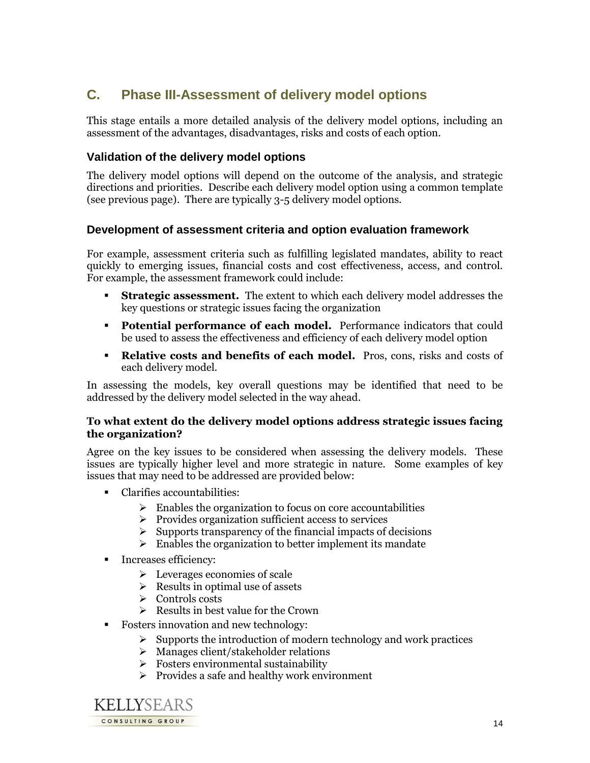## **C. Phase III-Assessment of delivery model options**

This stage entails a more detailed analysis of the delivery model options, including an assessment of the advantages, disadvantages, risks and costs of each option.

### **Validation of the delivery model options**

The delivery model options will depend on the outcome of the analysis, and strategic directions and priorities. Describe each delivery model option using a common template (see previous page). There are typically 3-5 delivery model options.

### **Development of assessment criteria and option evaluation framework**

For example, assessment criteria such as fulfilling legislated mandates, ability to react quickly to emerging issues, financial costs and cost effectiveness, access, and control. For example, the assessment framework could include:

- **Strategic assessment.** The extent to which each delivery model addresses the key questions or strategic issues facing the organization
- **Potential performance of each model.** Performance indicators that could be used to assess the effectiveness and efficiency of each delivery model option
- **Relative costs and benefits of each model.** Pros, cons, risks and costs of each delivery model.

In assessing the models, key overall questions may be identified that need to be addressed by the delivery model selected in the way ahead.

### **To what extent do the delivery model options address strategic issues facing the organization?**

Agree on the key issues to be considered when assessing the delivery models. These issues are typically higher level and more strategic in nature. Some examples of key issues that may need to be addressed are provided below:

- Clarifies accountabilities:
	- $\triangleright$  Enables the organization to focus on core accountabilities
	- $\triangleright$  Provides organization sufficient access to services
	- $\triangleright$  Supports transparency of the financial impacts of decisions
	- $\triangleright$  Enables the organization to better implement its mandate
- **Increases efficiency:** 
	- $\triangleright$  Leverages economies of scale
	- $\triangleright$  Results in optimal use of assets
	- Controls costs
	- $\triangleright$  Results in best value for the Crown
- Fosters innovation and new technology:
	- $\triangleright$  Supports the introduction of modern technology and work practices
	- $\triangleright$  Manages client/stakeholder relations
	- $\triangleright$  Fosters environmental sustainability
	- $\triangleright$  Provides a safe and healthy work environment

**KELIYSEARS** CONSULTING GROUP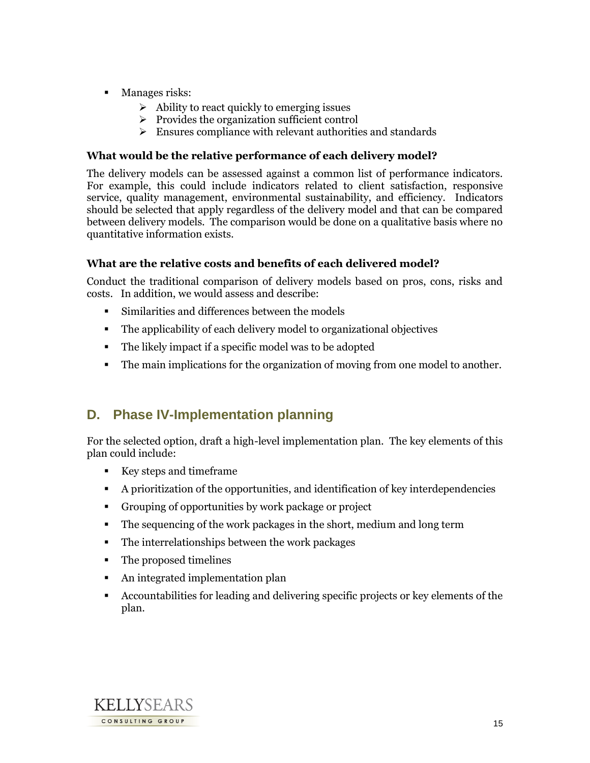- **Manages risks:** 
	- $\triangleright$  Ability to react quickly to emerging issues
	- $\triangleright$  Provides the organization sufficient control
	- $\triangleright$  Ensures compliance with relevant authorities and standards

### **What would be the relative performance of each delivery model?**

The delivery models can be assessed against a common list of performance indicators. For example, this could include indicators related to client satisfaction, responsive service, quality management, environmental sustainability, and efficiency. Indicators should be selected that apply regardless of the delivery model and that can be compared between delivery models. The comparison would be done on a qualitative basis where no quantitative information exists.

### **What are the relative costs and benefits of each delivered model?**

Conduct the traditional comparison of delivery models based on pros, cons, risks and costs. In addition, we would assess and describe:

- Similarities and differences between the models
- The applicability of each delivery model to organizational objectives
- The likely impact if a specific model was to be adopted
- The main implications for the organization of moving from one model to another.

## **D. Phase IV-Implementation planning**

For the selected option, draft a high-level implementation plan. The key elements of this plan could include:

- Key steps and timeframe
- A prioritization of the opportunities, and identification of key interdependencies
- Grouping of opportunities by work package or project
- The sequencing of the work packages in the short, medium and long term
- The interrelationships between the work packages
- The proposed timelines
- An integrated implementation plan
- Accountabilities for leading and delivering specific projects or key elements of the plan.

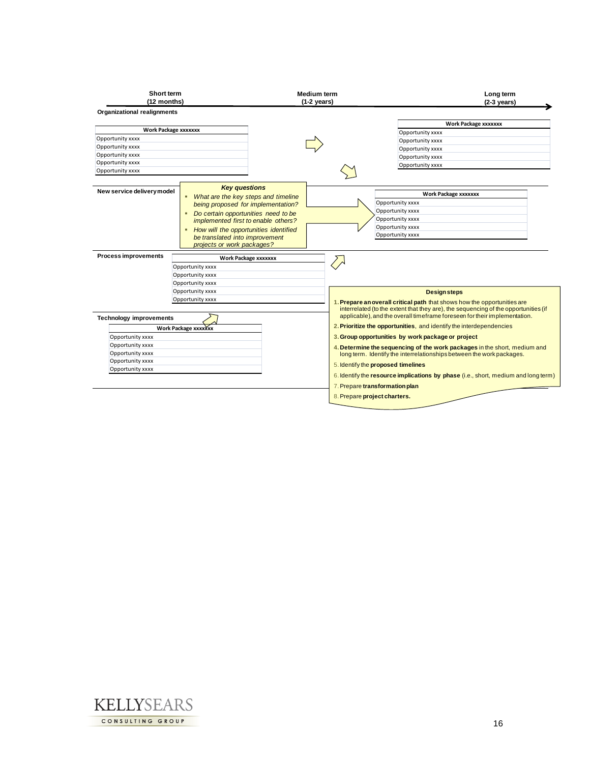| Short term<br>(12 months)            |                                                                                                                                                                                                                                                                                                                      |                             | <b>Medium term</b><br>$(1-2 \text{ years})$ | Long term<br>$(2-3 \text{ years})$                                                                                                                               |
|--------------------------------------|----------------------------------------------------------------------------------------------------------------------------------------------------------------------------------------------------------------------------------------------------------------------------------------------------------------------|-----------------------------|---------------------------------------------|------------------------------------------------------------------------------------------------------------------------------------------------------------------|
| <b>Organizational realignments</b>   |                                                                                                                                                                                                                                                                                                                      |                             |                                             |                                                                                                                                                                  |
| <b>Work Package xxxxxxx</b>          |                                                                                                                                                                                                                                                                                                                      |                             |                                             | <b>Work Package xxxxxxx</b>                                                                                                                                      |
|                                      |                                                                                                                                                                                                                                                                                                                      |                             |                                             | Opportunity xxxx                                                                                                                                                 |
| Opportunity xxxx                     |                                                                                                                                                                                                                                                                                                                      |                             |                                             | Opportunity xxxx                                                                                                                                                 |
| Opportunity xxxx                     |                                                                                                                                                                                                                                                                                                                      |                             |                                             | Opportunity xxxx                                                                                                                                                 |
| Opportunity xxxx<br>Opportunity xxxx |                                                                                                                                                                                                                                                                                                                      |                             |                                             | Opportunity xxxx                                                                                                                                                 |
| Opportunity xxxx                     |                                                                                                                                                                                                                                                                                                                      |                             |                                             | Opportunity xxxx                                                                                                                                                 |
|                                      |                                                                                                                                                                                                                                                                                                                      |                             |                                             |                                                                                                                                                                  |
| New service delivery model           | <b>Key questions</b><br>What are the key steps and timeline<br>٠<br>being proposed for implementation?<br>Do certain opportunities need to be<br>$\blacksquare$<br>implemented first to enable others?<br>How will the opportunities identified<br>٠<br>be translated into improvement<br>projects or work packages? |                             |                                             | <b>Work Package xxxxxxx</b><br>Opportunity xxxx<br>Opportunity xxxx<br>Opportunity xxxx<br>Opportunity xxxx<br>Opportunity xxxx                                  |
| <b>Process improvements</b>          |                                                                                                                                                                                                                                                                                                                      | <b>Work Package xxxxxxx</b> |                                             |                                                                                                                                                                  |
|                                      | Opportunity xxxx                                                                                                                                                                                                                                                                                                     |                             |                                             |                                                                                                                                                                  |
|                                      | Opportunity xxxx                                                                                                                                                                                                                                                                                                     |                             |                                             |                                                                                                                                                                  |
|                                      | Opportunity xxxx                                                                                                                                                                                                                                                                                                     |                             |                                             |                                                                                                                                                                  |
|                                      | Opportunity xxxx                                                                                                                                                                                                                                                                                                     |                             |                                             | <b>Design steps</b>                                                                                                                                              |
|                                      | Opportunity xxxx                                                                                                                                                                                                                                                                                                     |                             |                                             | 1. Prepare an overall critical path that shows how the opportunities are                                                                                         |
|                                      |                                                                                                                                                                                                                                                                                                                      |                             |                                             | interrelated (to the extent that they are), the sequencing of the opportunities (if<br>applicable), and the overall timeframe foreseen for their implementation. |
| <b>Technology improvements</b>       |                                                                                                                                                                                                                                                                                                                      |                             |                                             |                                                                                                                                                                  |
|                                      | Work Package xxxxxxx                                                                                                                                                                                                                                                                                                 |                             |                                             | 2. Prioritize the opportunities, and identify the interdependencies                                                                                              |
| Opportunity xxxx                     |                                                                                                                                                                                                                                                                                                                      |                             |                                             | 3. Group opportunities by work package or project                                                                                                                |
| Opportunity xxxx                     |                                                                                                                                                                                                                                                                                                                      |                             |                                             | 4. Determine the sequencing of the work packages in the short, medium and                                                                                        |
| Opportunity xxxx                     |                                                                                                                                                                                                                                                                                                                      |                             |                                             | long term. Identify the interrelationships between the work packages.                                                                                            |
| Opportunity xxxx                     |                                                                                                                                                                                                                                                                                                                      |                             | 5. Identify the proposed timelines          |                                                                                                                                                                  |
|                                      |                                                                                                                                                                                                                                                                                                                      |                             |                                             |                                                                                                                                                                  |
| Opportunity xxxx                     |                                                                                                                                                                                                                                                                                                                      |                             |                                             |                                                                                                                                                                  |
|                                      |                                                                                                                                                                                                                                                                                                                      |                             |                                             |                                                                                                                                                                  |
|                                      |                                                                                                                                                                                                                                                                                                                      |                             | 7. Prepare transformation plan              | 6. Identify the resource implications by phase (i.e., short, medium and long term)                                                                               |

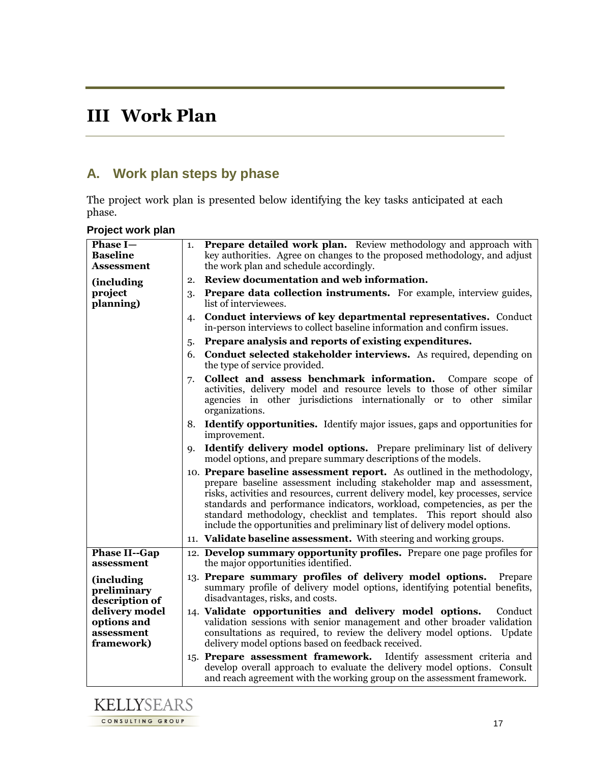# **III Work Plan**

## **A. Work plan steps by phase**

The project work plan is presented below identifying the key tasks anticipated at each phase.

| Phase I-<br><b>Baseline</b><br>Assessment                 | 1.        | <b>Prepare detailed work plan.</b> Review methodology and approach with<br>key authorities. Agree on changes to the proposed methodology, and adjust<br>the work plan and schedule accordingly.                                                                                                                                                                                                                                                                        |
|-----------------------------------------------------------|-----------|------------------------------------------------------------------------------------------------------------------------------------------------------------------------------------------------------------------------------------------------------------------------------------------------------------------------------------------------------------------------------------------------------------------------------------------------------------------------|
| (including)                                               | 2.        | Review documentation and web information.                                                                                                                                                                                                                                                                                                                                                                                                                              |
| project<br>planning)                                      | 3.        | <b>Prepare data collection instruments.</b> For example, interview guides,<br>list of interviewees.                                                                                                                                                                                                                                                                                                                                                                    |
|                                                           | 4.        | <b>Conduct interviews of key departmental representatives.</b> Conduct<br>in-person interviews to collect baseline information and confirm issues.                                                                                                                                                                                                                                                                                                                     |
|                                                           | 5.        | Prepare analysis and reports of existing expenditures.                                                                                                                                                                                                                                                                                                                                                                                                                 |
|                                                           | 6.        | Conduct selected stakeholder interviews. As required, depending on<br>the type of service provided.                                                                                                                                                                                                                                                                                                                                                                    |
|                                                           | 7.        | Collect and assess benchmark information.<br>Compare scope of<br>activities, delivery model and resource levels to those of other similar<br>agencies in other jurisdictions internationally or to other similar<br>organizations.                                                                                                                                                                                                                                     |
|                                                           | 8.        | <b>Identify opportunities.</b> Identify major issues, gaps and opportunities for<br>improvement.                                                                                                                                                                                                                                                                                                                                                                       |
|                                                           | <b>Q.</b> | <b>Identify delivery model options.</b> Prepare preliminary list of delivery<br>model options, and prepare summary descriptions of the models.                                                                                                                                                                                                                                                                                                                         |
|                                                           |           | 10. Prepare baseline assessment report. As outlined in the methodology,<br>prepare baseline assessment including stakeholder map and assessment,<br>risks, activities and resources, current delivery model, key processes, service<br>standards and performance indicators, workload, competencies, as per the<br>standard methodology, checklist and templates. This report should also<br>include the opportunities and preliminary list of delivery model options. |
|                                                           |           | 11. Validate baseline assessment. With steering and working groups.                                                                                                                                                                                                                                                                                                                                                                                                    |
| <b>Phase II--Gap</b><br>assessment                        |           | 12. Develop summary opportunity profiles. Prepare one page profiles for<br>the major opportunities identified.                                                                                                                                                                                                                                                                                                                                                         |
| (including<br>preliminary<br>description of               |           | 13. Prepare summary profiles of delivery model options.<br>Prepare<br>summary profile of delivery model options, identifying potential benefits,<br>disadvantages, risks, and costs.                                                                                                                                                                                                                                                                                   |
| delivery model<br>options and<br>assessment<br>framework) |           | 14. Validate opportunities and delivery model options.<br>Conduct<br>validation sessions with senior management and other broader validation<br>consultations as required, to review the delivery model options.<br>Update<br>delivery model options based on feedback received.                                                                                                                                                                                       |
|                                                           |           | 15. Prepare assessment framework. Identify assessment criteria and<br>develop overall approach to evaluate the delivery model options. Consult<br>and reach agreement with the working group on the assessment framework.                                                                                                                                                                                                                                              |